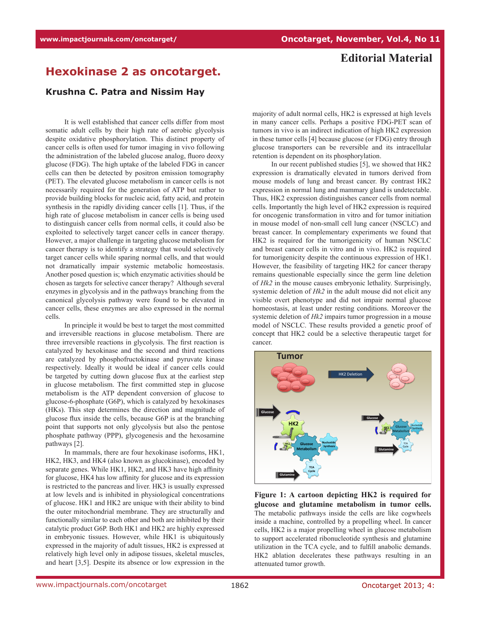## **Editorial Material**

## **Hexokinase 2 as oncotarget.**

## **Krushna C. Patra and Nissim Hay**

It is well established that cancer cells differ from most somatic adult cells by their high rate of aerobic glycolysis despite oxidative phosphorylation. This distinct property of cancer cells is often used for tumor imaging in vivo following the administration of the labeled glucose analog, fluoro deoxy glucose (FDG). The high uptake of the labeled FDG in cancer cells can then be detected by positron emission tomography (PET). The elevated glucose metabolism in cancer cells is not necessarily required for the generation of ATP but rather to provide building blocks for nucleic acid, fatty acid, and protein synthesis in the rapidly dividing cancer cells [1]. Thus, if the high rate of glucose metabolism in cancer cells is being used to distinguish cancer cells from normal cells, it could also be exploited to selectively target cancer cells in cancer therapy. However, a major challenge in targeting glucose metabolism for cancer therapy is to identify a strategy that would selectively target cancer cells while sparing normal cells, and that would not dramatically impair systemic metabolic homeostasis. Another posed question is; which enzymatic activities should be chosen as targets for selective cancer therapy? Although several enzymes in glycolysis and in the pathways branching from the canonical glycolysis pathway were found to be elevated in cancer cells, these enzymes are also expressed in the normal cells.

In principle it would be best to target the most committed and irreversible reactions in glucose metabolism. There are three irreversible reactions in glycolysis. The first reaction is catalyzed by hexokinase and the second and third reactions are catalyzed by phosphofructokinase and pyruvate kinase respectively. Ideally it would be ideal if cancer cells could be targeted by cutting down glucose flux at the earliest step in glucose metabolism. The first committed step in glucose metabolism is the ATP dependent conversion of glucose to glucose-6-phosphate (G6P), which is catalyzed by hexokinases (HKs). This step determines the direction and magnitude of glucose flux inside the cells, because G6P is at the branching point that supports not only glycolysis but also the pentose phosphate pathway (PPP), glycogenesis and the hexosamine pathways [2].

In mammals, there are four hexokinase isoforms, HK1, HK2, HK3, and HK4 (also known as glucokinase), encoded by separate genes. While HK1, HK2, and HK3 have high affinity for glucose, HK4 has low affinity for glucose and its expression is restricted to the pancreas and liver. HK3 is usually expressed at low levels and is inhibited in physiological concentrations of glucose. HK1 and HK2 are unique with their ability to bind the outer mitochondrial membrane. They are structurally and functionally similar to each other and both are inhibited by their catalytic product G6P. Both HK1 and HK2 are highly expressed in embryonic tissues. However, while HK1 is ubiquitously expressed in the majority of adult tissues, HK2 is expressed at relatively high level only in adipose tissues, skeletal muscles, and heart [3,5]. Despite its absence or low expression in the

majority of adult normal cells, HK2 is expressed at high levels in many cancer cells. Perhaps a positive FDG-PET scan of tumors in vivo is an indirect indication of high HK2 expression in these tumor cells [4] because glucose (or FDG) entry through glucose transporters can be reversible and its intracellular retention is dependent on its phosphorylation.

In our recent published studies [5], we showed that HK2 expression is dramatically elevated in tumors derived from mouse models of lung and breast cancer. By contrast HK2 expression in normal lung and mammary gland is undetectable. Thus, HK2 expression distinguishes cancer cells from normal cells. Importantly the high level of HK2 expression is required for oncogenic transformation in vitro and for tumor initiation in mouse model of non-small cell lung cancer (NSCLC) and breast cancer. In complementary experiments we found that HK2 is required for the tumorigenicity of human NSCLC and breast cancer cells in vitro and in vivo. HK2 is required for tumorigenicity despite the continuous expression of HK1. However, the feasibility of targeting HK2 for cancer therapy remains questionable especially since the germ line deletion of *Hk2* in the mouse causes embryonic lethality. Surprisingly, systemic deletion of *Hk2* in the adult mouse did not elicit any visible overt phenotype and did not impair normal glucose homeostasis, at least under resting conditions. Moreover the systemic deletion of *Hk2* impairs tumor progression in a mouse model of NSCLC. These results provided a genetic proof of concept that HK2 could be a selective therapeutic target for cancer.



**Figure 1: A cartoon depicting HK2 is required for glucose and glutamine metabolism in tumor cells.**  The metabolic pathways inside the cells are like cogwheels inside a machine, controlled by a propelling wheel. In cancer cells, HK2 is a major propelling wheel in glucose metabolism to support accelerated ribonucleotide synthesis and glutamine utilization in the TCA cycle, and to fulfill anabolic demands. HK2 ablation decelerates these pathways resulting in an attenuated tumor growth.